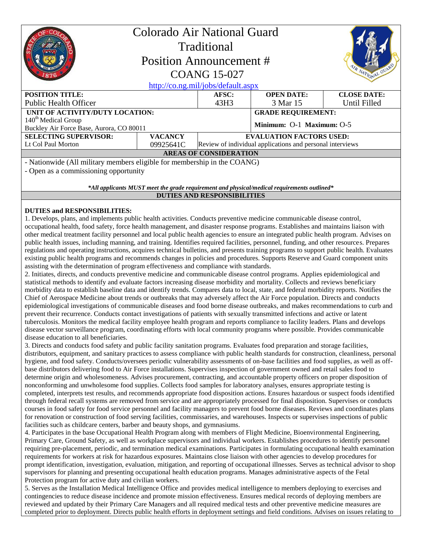| Colorado Air National Guard<br><b>Traditional</b><br><b>Position Announcement #</b><br>NATIONAL GUARD<br><b>COANG 15-027</b><br>http://co.ng.mil/jobs/default.aspx |                |                                                           |                           |                    |
|--------------------------------------------------------------------------------------------------------------------------------------------------------------------|----------------|-----------------------------------------------------------|---------------------------|--------------------|
| <b>POSITION TITLE:</b>                                                                                                                                             |                | AFSC:                                                     | <b>OPEN DATE:</b>         | <b>CLOSE DATE:</b> |
| <b>Public Health Officer</b>                                                                                                                                       |                | 43H3                                                      | 3 Mar 15                  | Until Filled       |
| UNIT OF ACTIVITY/DUTY LOCATION:                                                                                                                                    |                |                                                           | <b>GRADE REQUIREMENT:</b> |                    |
| 140 <sup>th</sup> Medical Group                                                                                                                                    |                |                                                           | Minimum: O-1 Maximum: O-5 |                    |
| Buckley Air Force Base, Aurora, CO 80011                                                                                                                           |                |                                                           |                           |                    |
| <b>SELECTING SUPERVISOR:</b>                                                                                                                                       | <b>VACANCY</b> | <b>EVALUATION FACTORS USED:</b>                           |                           |                    |
| Lt Col Paul Morton                                                                                                                                                 | 09925641C      | Review of individual applications and personal interviews |                           |                    |
| <b>AREAS OF CONSIDERATION</b>                                                                                                                                      |                |                                                           |                           |                    |
| - Nationwide (All military members eligible for membership in the COANG)                                                                                           |                |                                                           |                           |                    |
| - Open as a commissioning opportunity                                                                                                                              |                |                                                           |                           |                    |

*\*All applicants MUST meet the grade requirement and physical/medical requirements outlined\** **DUTIES AND RESPONSIBILITIES**

# **DUTIES and RESPONSIBILITIES:**

1. Develops, plans, and implements public health activities. Conducts preventive medicine communicable disease control, occupational health, food safety, force health management, and disaster response programs. Establishes and maintains liaison with other medical treatment facility personnel and local public health agencies to ensure an integrated public health program. Advises on public health issues, including manning, and training. Identifies required facilities, personnel, funding, and other resources. Prepares regulations and operating instructions, acquires technical bulletins, and presents training programs to support public health. Evaluates existing public health programs and recommends changes in policies and procedures. Supports Reserve and Guard component units assisting with the determination of program effectiveness and compliance with standards.

2. Initiates, directs, and conducts preventive medicine and communicable disease control programs. Applies epidemiological and statistical methods to identify and evaluate factors increasing disease morbidity and mortality. Collects and reviews beneficiary morbidity data to establish baseline data and identify trends. Compares data to local, state, and federal morbidity reports. Notifies the Chief of Aerospace Medicine about trends or outbreaks that may adversely affect the Air Force population. Directs and conducts epidemiological investigations of communicable diseases and food borne disease outbreaks, and makes recommendations to curb and prevent their recurrence. Conducts contact investigations of patients with sexually transmitted infections and active or latent tuberculosis. Monitors the medical facility employee health program and reports compliance to facility leaders. Plans and develops disease vector surveillance program, coordinating efforts with local community programs where possible. Provides communicable disease education to all beneficiaries.

3. Directs and conducts food safety and public facility sanitation programs. Evaluates food preparation and storage facilities, distributors, equipment, and sanitary practices to assess compliance with public health standards for construction, cleanliness, personal hygiene, and food safety. Conducts/oversees periodic vulnerability assessments of on-base facilities and food supplies, as well as offbase distributors delivering food to Air Force installations. Supervises inspection of government owned and retail sales food to determine origin and wholesomeness. Advises procurement, contracting, and accountable property officers on proper disposition of nonconforming and unwholesome food supplies. Collects food samples for laboratory analyses, ensures appropriate testing is completed, interprets test results, and recommends appropriate food disposition actions. Ensures hazardous or suspect foods identified through federal recall systems are removed from service and are appropriately processed for final disposition. Supervises or conducts courses in food safety for food service personnel and facility managers to prevent food borne diseases. Reviews and coordinates plans for renovation or construction of food serving facilities, commissaries, and warehouses. Inspects or supervises inspections of public facilities such as childcare centers, barber and beauty shops, and gymnasiums.

4. Participates in the base Occupational Health Program along with members of Flight Medicine, Bioenvironmental Engineering, Primary Care, Ground Safety, as well as workplace supervisors and individual workers. Establishes procedures to identify personnel requiring pre-placement, periodic, and termination medical examinations. Participates in formulating occupational health examination requirements for workers at risk for hazardous exposures. Maintains close liaison with other agencies to develop procedures for prompt identification, investigation, evaluation, mitigation, and reporting of occupational illnesses. Serves as technical advisor to shop supervisors for planning and presenting occupational health education programs. Manages administrative aspects of the Fetal Protection program for active duty and civilian workers.

5. Serves as the Installation Medical Intelligence Office and provides medical intelligence to members deploying to exercises and contingencies to reduce disease incidence and promote mission effectiveness. Ensures medical records of deploying members are reviewed and updated by their Primary Care Managers and all required medical tests and other preventive medicine measures are completed prior to deployment. Directs public health efforts in deployment settings and field conditions. Advises on issues relating to